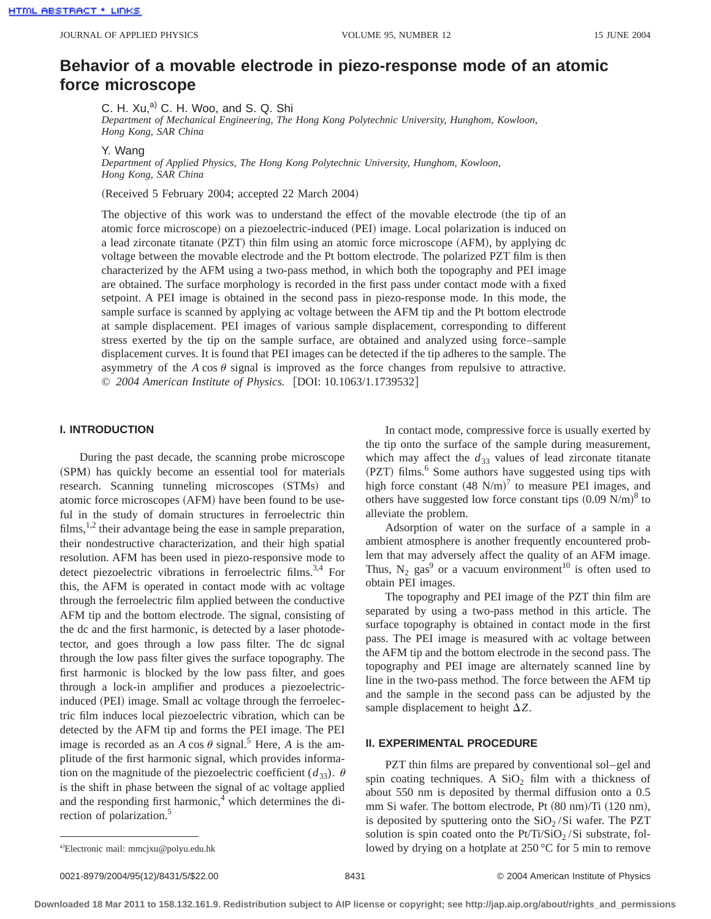# **Behavior of a movable electrode in piezo-response mode of an atomic force microscope**

C. H.  $Xu, ^{a)}$  C. H. Woo, and S. Q. Shi

*Department of Mechanical Engineering, The Hong Kong Polytechnic University, Hunghom, Kowloon, Hong Kong, SAR China*

Y. Wang

*Department of Applied Physics, The Hong Kong Polytechnic University, Hunghom, Kowloon, Hong Kong, SAR China*

(Received 5 February 2004; accepted 22 March 2004)

The objective of this work was to understand the effect of the movable electrode (the tip of an atomic force microscope) on a piezoelectric-induced (PEI) image. Local polarization is induced on a lead zirconate titanate (PZT) thin film using an atomic force microscope (AFM), by applying dc voltage between the movable electrode and the Pt bottom electrode. The polarized PZT film is then characterized by the AFM using a two-pass method, in which both the topography and PEI image are obtained. The surface morphology is recorded in the first pass under contact mode with a fixed setpoint. A PEI image is obtained in the second pass in piezo-response mode. In this mode, the sample surface is scanned by applying ac voltage between the AFM tip and the Pt bottom electrode at sample displacement. PEI images of various sample displacement, corresponding to different stress exerted by the tip on the sample surface, are obtained and analyzed using force–sample displacement curves. It is found that PEI images can be detected if the tip adheres to the sample. The asymmetry of the  $A \cos \theta$  signal is improved as the force changes from repulsive to attractive. © 2004 American Institute of Physics. [DOI: 10.1063/1.1739532]

# **I. INTRODUCTION**

During the past decade, the scanning probe microscope (SPM) has quickly become an essential tool for materials research. Scanning tunneling microscopes (STMs) and atomic force microscopes (AFM) have been found to be useful in the study of domain structures in ferroelectric thin films,  $\frac{1}{2}$  their advantage being the ease in sample preparation, their nondestructive characterization, and their high spatial resolution. AFM has been used in piezo-responsive mode to detect piezoelectric vibrations in ferroelectric films.<sup>3,4</sup> For this, the AFM is operated in contact mode with ac voltage through the ferroelectric film applied between the conductive AFM tip and the bottom electrode. The signal, consisting of the dc and the first harmonic, is detected by a laser photodetector, and goes through a low pass filter. The dc signal through the low pass filter gives the surface topography. The first harmonic is blocked by the low pass filter, and goes through a lock-in amplifier and produces a piezoelectricinduced (PEI) image. Small ac voltage through the ferroelectric film induces local piezoelectric vibration, which can be detected by the AFM tip and forms the PEI image. The PEI image is recorded as an *A* cos  $\theta$  signal.<sup>5</sup> Here, *A* is the amplitude of the first harmonic signal, which provides information on the magnitude of the piezoelectric coefficient  $(d_{33})$ .  $\theta$ is the shift in phase between the signal of ac voltage applied and the responding first harmonic, $4$  which determines the direction of polarization.<sup>5</sup>

In contact mode, compressive force is usually exerted by the tip onto the surface of the sample during measurement, which may affect the  $d_{33}$  values of lead zirconate titanate (PZT) films.<sup>6</sup> Some authors have suggested using tips with high force constant  $(48 \text{ N/m})^7$  to measure PEI images, and others have suggested low force constant tips  $(0.09 \text{ N/m})^8$  to alleviate the problem.

Adsorption of water on the surface of a sample in a ambient atmosphere is another frequently encountered problem that may adversely affect the quality of an AFM image. Thus,  $N_2$  gas<sup>9</sup> or a vacuum environment<sup>10</sup> is often used to obtain PEI images.

The topography and PEI image of the PZT thin film are separated by using a two-pass method in this article. The surface topography is obtained in contact mode in the first pass. The PEI image is measured with ac voltage between the AFM tip and the bottom electrode in the second pass. The topography and PEI image are alternately scanned line by line in the two-pass method. The force between the AFM tip and the sample in the second pass can be adjusted by the sample displacement to height  $\Delta Z$ .

# **II. EXPERIMENTAL PROCEDURE**

PZT thin films are prepared by conventional sol–gel and spin coating techniques. A  $SiO<sub>2</sub>$  film with a thickness of about 550 nm is deposited by thermal diffusion onto a 0.5 mm Si wafer. The bottom electrode, Pt  $(80 ~ nm)/T$ i  $(120 ~ nm)$ , is deposited by sputtering onto the  $SiO<sub>2</sub>/Si$  wafer. The PZT solution is spin coated onto the  $Pt/Ti/SiO<sub>2</sub>/Si$  substrate, followed by drying on a hotplate at  $250^{\circ}$ C for 5 min to remove

a)Electronic mail: mmcjxu@polyu.edu.hk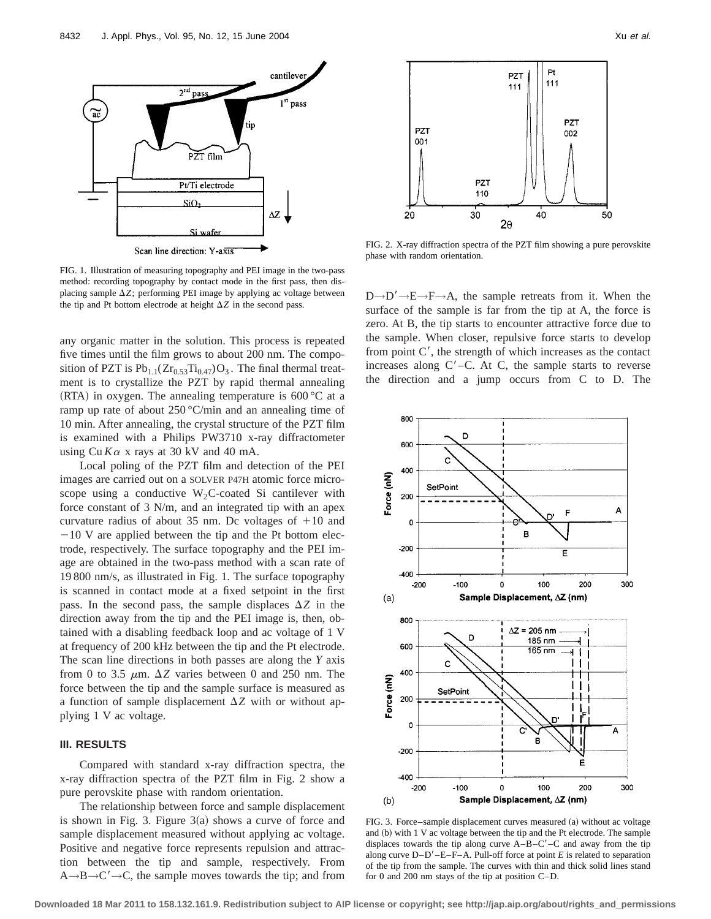

FIG. 1. Illustration of measuring topography and PEI image in the two-pass method: recording topography by contact mode in the first pass, then displacing sample  $\Delta Z$ ; performing PEI image by applying ac voltage between the tip and Pt bottom electrode at height  $\Delta Z$  in the second pass.

any organic matter in the solution. This process is repeated five times until the film grows to about 200 nm. The composition of PZT is  $Pb_{1,1}(Zr_{0,53}Ti_{0,47})O_3$ . The final thermal treatment is to crystallize the PZT by rapid thermal annealing (RTA) in oxygen. The annealing temperature is  $600\,^{\circ}\text{C}$  at a ramp up rate of about  $250^{\circ}$ C/min and an annealing time of 10 min. After annealing, the crystal structure of the PZT film is examined with a Philips PW3710 x-ray diffractometer using  $Cu K\alpha$  x rays at 30 kV and 40 mA.

Local poling of the PZT film and detection of the PEI images are carried out on a SOLVER P47H atomic force microscope using a conductive  $W_2C$ -coated Si cantilever with force constant of 3 N/m, and an integrated tip with an apex curvature radius of about 35 nm. Dc voltages of  $+10$  and  $-10$  V are applied between the tip and the Pt bottom electrode, respectively. The surface topography and the PEI image are obtained in the two-pass method with a scan rate of 19 800 nm/s, as illustrated in Fig. 1. The surface topography is scanned in contact mode at a fixed setpoint in the first pass. In the second pass, the sample displaces  $\Delta Z$  in the direction away from the tip and the PEI image is, then, obtained with a disabling feedback loop and ac voltage of 1 V at frequency of 200 kHz between the tip and the Pt electrode. The scan line directions in both passes are along the *Y* axis from 0 to 3.5  $\mu$ m.  $\Delta Z$  varies between 0 and 250 nm. The force between the tip and the sample surface is measured as a function of sample displacement  $\Delta Z$  with or without applying 1 V ac voltage.

# **III. RESULTS**

Compared with standard x-ray diffraction spectra, the x-ray diffraction spectra of the PZT film in Fig. 2 show a pure perovskite phase with random orientation.

The relationship between force and sample displacement is shown in Fig. 3. Figure  $3(a)$  shows a curve of force and sample displacement measured without applying ac voltage. Positive and negative force represents repulsion and attraction between the tip and sample, respectively. From  $A \rightarrow B \rightarrow C' \rightarrow C$ , the sample moves towards the tip; and from



FIG. 2. X-ray diffraction spectra of the PZT film showing a pure perovskite phase with random orientation.

 $D\rightarrow D'\rightarrow E\rightarrow F\rightarrow A$ , the sample retreats from it. When the surface of the sample is far from the tip at A, the force is zero. At B, the tip starts to encounter attractive force due to the sample. When closer, repulsive force starts to develop from point  $C'$ , the strength of which increases as the contact increases along  $C'-C$ . At C, the sample starts to reverse the direction and a jump occurs from C to D. The



FIG. 3. Force–sample displacement curves measured (a) without ac voltage and  $(b)$  with 1 V ac voltage between the tip and the Pt electrode. The sample displaces towards the tip along curve  $A-B-C'-C$  and away from the tip along curve  $D-D'-E-F-A$ . Pull-off force at point *E* is related to separation of the tip from the sample. The curves with thin and thick solid lines stand for 0 and 200 nm stays of the tip at position C–D.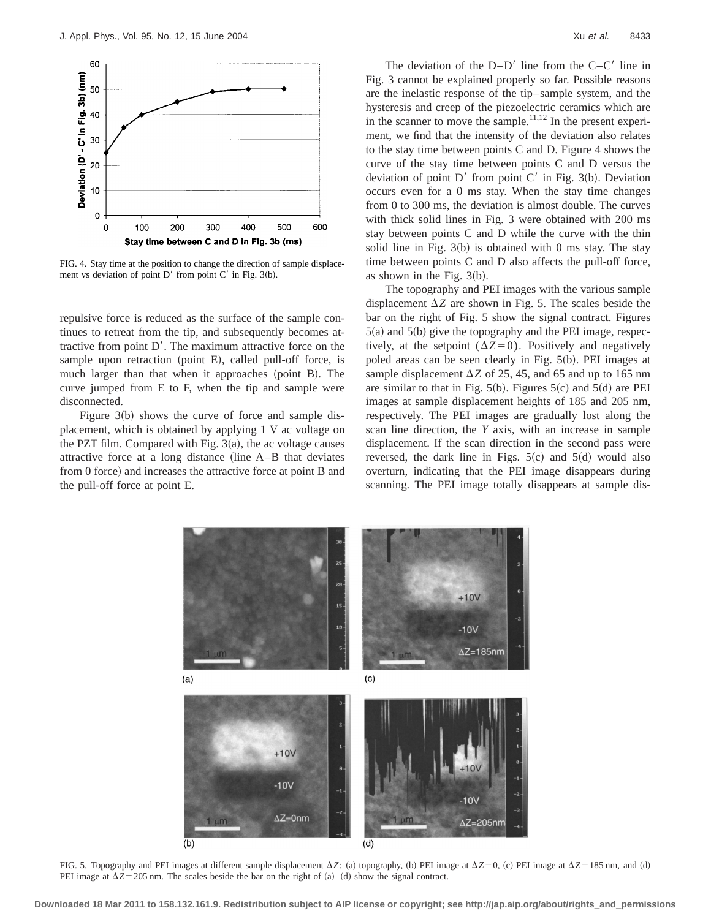

FIG. 4. Stay time at the position to change the direction of sample displacement vs deviation of point  $D'$  from point  $C'$  in Fig. 3(b).

repulsive force is reduced as the surface of the sample continues to retreat from the tip, and subsequently becomes attractive from point  $D'$ . The maximum attractive force on the sample upon retraction (point  $E$ ), called pull-off force, is much larger than that when it approaches  $(point B)$ . The curve jumped from E to F, when the tip and sample were disconnected.

Figure  $3(b)$  shows the curve of force and sample displacement, which is obtained by applying 1 V ac voltage on the PZT film. Compared with Fig.  $3(a)$ , the ac voltage causes attractive force at a long distance (line  $A-B$  that deviates from 0 force) and increases the attractive force at point B and the pull-off force at point E.

The deviation of the  $D-D'$  line from the  $C-C'$  line in Fig. 3 cannot be explained properly so far. Possible reasons are the inelastic response of the tip–sample system, and the hysteresis and creep of the piezoelectric ceramics which are in the scanner to move the sample.<sup>11,12</sup> In the present experiment, we find that the intensity of the deviation also relates to the stay time between points C and D. Figure 4 shows the curve of the stay time between points C and D versus the deviation of point  $D'$  from point  $C'$  in Fig. 3(b). Deviation occurs even for a 0 ms stay. When the stay time changes from 0 to 300 ms, the deviation is almost double. The curves with thick solid lines in Fig. 3 were obtained with 200 ms stay between points C and D while the curve with the thin solid line in Fig.  $3(b)$  is obtained with 0 ms stay. The stay time between points C and D also affects the pull-off force, as shown in the Fig.  $3(b)$ .

The topography and PEI images with the various sample displacement  $\Delta Z$  are shown in Fig. 5. The scales beside the bar on the right of Fig. 5 show the signal contract. Figures  $5(a)$  and  $5(b)$  give the topography and the PEI image, respectively, at the setpoint  $(\Delta Z=0)$ . Positively and negatively poled areas can be seen clearly in Fig.  $5(b)$ . PEI images at sample displacement  $\Delta Z$  of 25, 45, and 65 and up to 165 nm are similar to that in Fig.  $5(b)$ . Figures  $5(c)$  and  $5(d)$  are PEI images at sample displacement heights of 185 and 205 nm, respectively. The PEI images are gradually lost along the scan line direction, the *Y* axis, with an increase in sample displacement. If the scan direction in the second pass were reversed, the dark line in Figs.  $5(c)$  and  $5(d)$  would also overturn, indicating that the PEI image disappears during scanning. The PEI image totally disappears at sample dis-



FIG. 5. Topography and PEI images at different sample displacement  $\Delta Z$ : (a) topography, (b) PEI image at  $\Delta Z=0$ , (c) PEI image at  $\Delta Z=185$  nm, and (d) PEI image at  $\Delta Z$ =205 nm. The scales beside the bar on the right of (a)–(d) show the signal contract.

**Downloaded 18 Mar 2011 to 158.132.161.9. Redistribution subject to AIP license or copyright; see http://jap.aip.org/about/rights\_and\_permissions**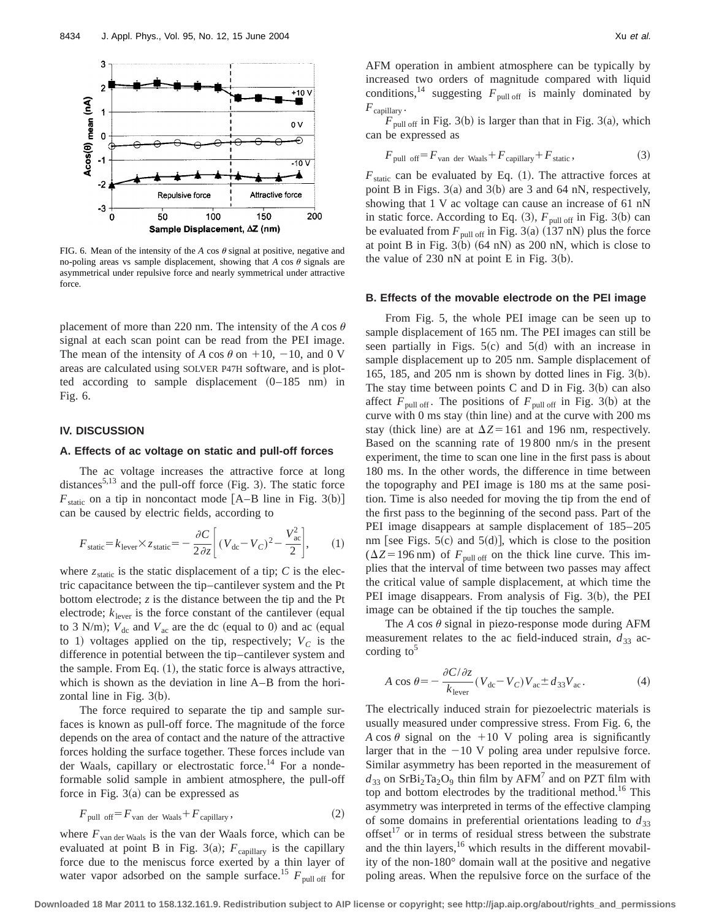

FIG. 6. Mean of the intensity of the  $A \cos \theta$  signal at positive, negative and no-poling areas vs sample displacement, showing that  $A \cos \theta$  signals are asymmetrical under repulsive force and nearly symmetrical under attractive force.

placement of more than 220 nm. The intensity of the *A* cos  $\theta$ signal at each scan point can be read from the PEI image. The mean of the intensity of *A* cos  $\theta$  on +10, -10, and 0 V areas are calculated using SOLVER P47H software, and is plotted according to sample displacement  $(0-185 \text{ nm})$  in Fig. 6.

#### **IV. DISCUSSION**

#### **A. Effects of ac voltage on static and pull-off forces**

The ac voltage increases the attractive force at long distances<sup>5,13</sup> and the pull-off force (Fig. 3). The static force  $F_{static}$  on a tip in noncontact mode  $[A-B]$  line in Fig. 3(b)] can be caused by electric fields, according to

$$
F_{\text{static}} = k_{\text{lever}} \times z_{\text{static}} = -\frac{\partial C}{2 \partial z} \left[ (V_{\text{dc}} - V_C)^2 - \frac{V_{\text{ac}}^2}{2} \right],\tag{1}
$$

where  $z_{static}$  is the static displacement of a tip;  $C$  is the electric capacitance between the tip–cantilever system and the Pt bottom electrode; *z* is the distance between the tip and the Pt electrode;  $k_{\text{lever}}$  is the force constant of the cantilever (equal to 3 N/m);  $V_{dc}$  and  $V_{ac}$  are the dc (equal to 0) and ac (equal to 1) voltages applied on the tip, respectively;  $V_c$  is the difference in potential between the tip–cantilever system and the sample. From Eq.  $(1)$ , the static force is always attractive, which is shown as the deviation in line A–B from the horizontal line in Fig.  $3(b)$ .

The force required to separate the tip and sample surfaces is known as pull-off force. The magnitude of the force depends on the area of contact and the nature of the attractive forces holding the surface together. These forces include van der Waals, capillary or electrostatic force.<sup>14</sup> For a nondeformable solid sample in ambient atmosphere, the pull-off force in Fig.  $3(a)$  can be expressed as

$$
F_{\text{pull off}} = F_{\text{van der Waals}} + F_{\text{capillary}},\tag{2}
$$

where  $F_{\text{van der Waals}}$  is the van der Waals force, which can be evaluated at point B in Fig. 3(a);  $F_{\text{capillary}}$  is the capillary force due to the meniscus force exerted by a thin layer of water vapor adsorbed on the sample surface.<sup>15</sup>  $F_{\text{pull off}}$  for AFM operation in ambient atmosphere can be typically by increased two orders of magnitude compared with liquid conditions,<sup>14</sup> suggesting  $F_{\text{pull off}}$  is mainly dominated by  $F_{\text{capillary}}$ .

 $F_{\text{pull off}}$  in Fig. 3(b) is larger than that in Fig. 3(a), which can be expressed as

$$
F_{\text{pull off}} = F_{\text{van der Waals}} + F_{\text{capillary}} + F_{\text{static}},\tag{3}
$$

 $F_{\text{static}}$  can be evaluated by Eq. (1). The attractive forces at point B in Figs.  $3(a)$  and  $3(b)$  are 3 and 64 nN, respectively, showing that 1 V ac voltage can cause an increase of 61 nN in static force. According to Eq.  $(3)$ ,  $F_{pull off}$  in Fig. 3(b) can be evaluated from  $F_{\text{pull off}}$  in Fig. 3(a) (137 nN) plus the force at point B in Fig.  $3(b)$  (64 nN) as 200 nN, which is close to the value of 230 nN at point E in Fig.  $3(b)$ .

# **B. Effects of the movable electrode on the PEI image**

From Fig. 5, the whole PEI image can be seen up to sample displacement of 165 nm. The PEI images can still be seen partially in Figs.  $5(c)$  and  $5(d)$  with an increase in sample displacement up to 205 nm. Sample displacement of 165, 185, and 205 nm is shown by dotted lines in Fig.  $3(b)$ . The stay time between points C and D in Fig.  $3(b)$  can also affect  $F_{\text{pull off}}$ . The positions of  $F_{\text{pull off}}$  in Fig. 3(b) at the curve with  $0 \text{ ms}$  stay (thin line) and at the curve with  $200 \text{ ms}$ stay (thick line) are at  $\Delta Z = 161$  and 196 nm, respectively. Based on the scanning rate of 19 800 nm/s in the present experiment, the time to scan one line in the first pass is about 180 ms. In the other words, the difference in time between the topography and PEI image is 180 ms at the same position. Time is also needed for moving the tip from the end of the first pass to the beginning of the second pass. Part of the PEI image disappears at sample displacement of 185–205 nm [see Figs.  $5(c)$  and  $5(d)$ ], which is close to the position  $(\Delta Z = 196 \text{ nm})$  of  $F_{\text{pull off}}$  on the thick line curve. This implies that the interval of time between two passes may affect the critical value of sample displacement, at which time the PEI image disappears. From analysis of Fig.  $3(b)$ , the PEI image can be obtained if the tip touches the sample.

The  $A \cos \theta$  signal in piezo-response mode during AFM measurement relates to the ac field-induced strain,  $d_{33}$  according to $5$ 

$$
A \cos \theta = -\frac{\partial C/\partial z}{k_{\text{lever}}} (V_{\text{dc}} - V_C) V_{\text{ac}} \pm d_{33} V_{\text{ac}}.
$$
 (4)

The electrically induced strain for piezoelectric materials is usually measured under compressive stress. From Fig. 6, the *A* cos  $\theta$  signal on the +10 V poling area is significantly larger that in the  $-10$  V poling area under repulsive force. Similar asymmetry has been reported in the measurement of  $d_{33}$  on SrBi<sub>2</sub>Ta<sub>2</sub>O<sub>9</sub> thin film by AFM<sup>7</sup> and on PZT film with top and bottom electrodes by the traditional method.<sup>16</sup> This asymmetry was interpreted in terms of the effective clamping of some domains in preferential orientations leading to  $d_{33}$ offset<sup>17</sup> or in terms of residual stress between the substrate and the thin layers, $16$  which results in the different movability of the non-180° domain wall at the positive and negative poling areas. When the repulsive force on the surface of the